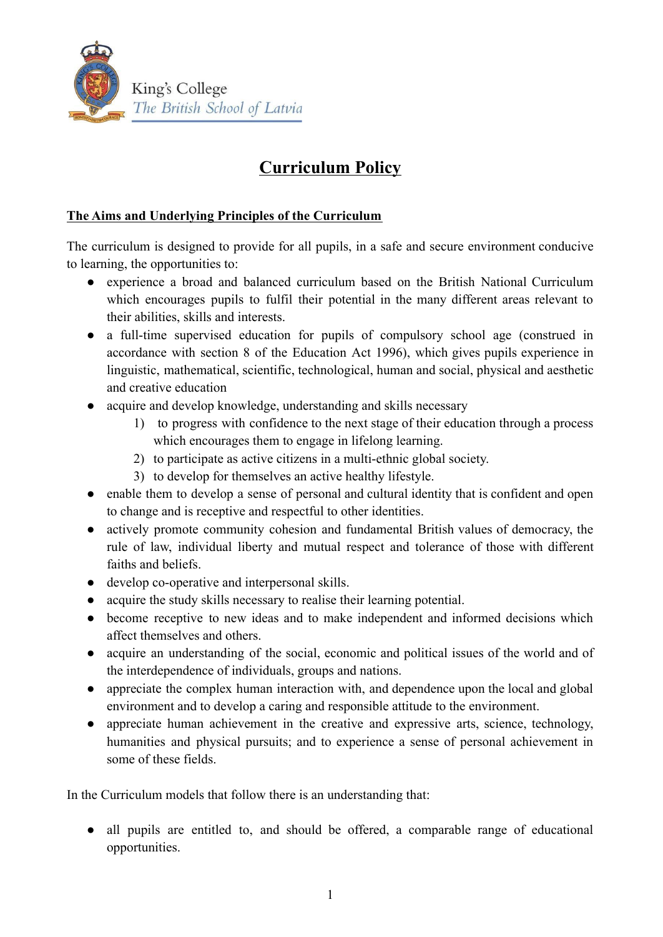

## **Curriculum Policy**

## **The Aims and Underlying Principles of the Curriculum**

The curriculum is designed to provide for all pupils, in a safe and secure environment conducive to learning, the opportunities to:

- experience a broad and balanced curriculum based on the British National Curriculum which encourages pupils to fulfil their potential in the many different areas relevant to their abilities, skills and interests.
- a full-time supervised education for pupils of compulsory school age (construed in accordance with section 8 of the Education Act 1996), which gives pupils experience in linguistic, mathematical, scientific, technological, human and social, physical and aesthetic and creative education
- acquire and develop knowledge, understanding and skills necessary
	- 1) to progress with confidence to the next stage of their education through a process which encourages them to engage in lifelong learning.
	- 2) to participate as active citizens in a multi-ethnic global society.
	- 3) to develop for themselves an active healthy lifestyle.
- enable them to develop a sense of personal and cultural identity that is confident and open to change and is receptive and respectful to other identities.
- actively promote community cohesion and fundamental British values of democracy, the rule of law, individual liberty and mutual respect and tolerance of those with different faiths and beliefs.
- develop co-operative and interpersonal skills.
- acquire the study skills necessary to realise their learning potential.
- become receptive to new ideas and to make independent and informed decisions which affect themselves and others.
- acquire an understanding of the social, economic and political issues of the world and of the interdependence of individuals, groups and nations.
- appreciate the complex human interaction with, and dependence upon the local and global environment and to develop a caring and responsible attitude to the environment.
- appreciate human achievement in the creative and expressive arts, science, technology, humanities and physical pursuits; and to experience a sense of personal achievement in some of these fields.

In the Curriculum models that follow there is an understanding that:

• all pupils are entitled to, and should be offered, a comparable range of educational opportunities.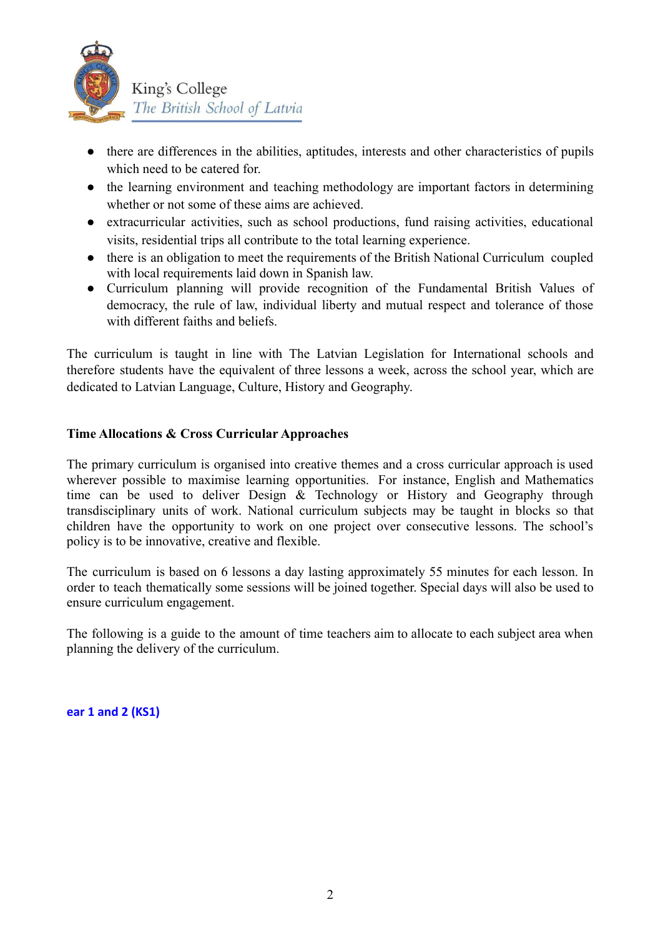

- there are differences in the abilities, aptitudes, interests and other characteristics of pupils which need to be catered for.
- the learning environment and teaching methodology are important factors in determining whether or not some of these aims are achieved.
- extracurricular activities, such as school productions, fund raising activities, educational visits, residential trips all contribute to the total learning experience.
- there is an obligation to meet the requirements of the British National Curriculum coupled with local requirements laid down in Spanish law.
- Curriculum planning will provide recognition of the Fundamental British Values of democracy, the rule of law, individual liberty and mutual respect and tolerance of those with different faiths and beliefs.

The curriculum is taught in line with The Latvian Legislation for International schools and therefore students have the equivalent of three lessons a week, across the school year, which are dedicated to Latvian Language, Culture, History and Geography.

## **Time Allocations & Cross Curricular Approaches**

The primary curriculum is organised into creative themes and a cross curricular approach is used wherever possible to maximise learning opportunities. For instance, English and Mathematics time can be used to deliver Design & Technology or History and Geography through transdisciplinary units of work. National curriculum subjects may be taught in blocks so that children have the opportunity to work on one project over consecutive lessons. The school's policy is to be innovative, creative and flexible.

The curriculum is based on 6 lessons a day lasting approximately 55 minutes for each lesson. In order to teach thematically some sessions will be joined together. Special days will also be used to ensure curriculum engagement.

The following is a guide to the amount of time teachers aim to allocate to each subject area when planning the delivery of the curriculum.

**ear 1 and 2 (KS1)**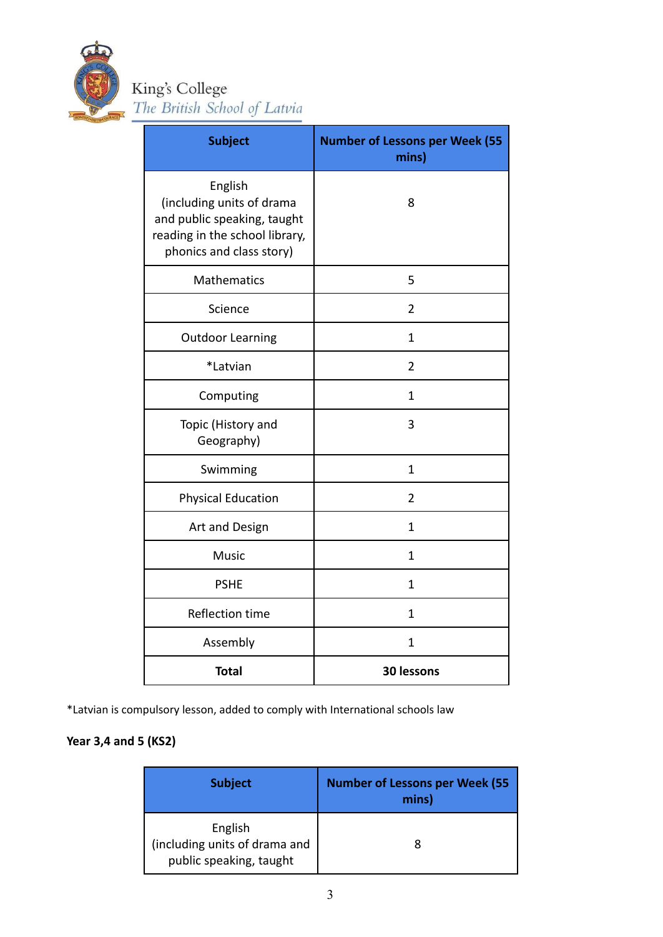

King's College<br>The British School of Latvia

| <b>Subject</b>                                                                                                                    | <b>Number of Lessons per Week (55</b><br>mins) |
|-----------------------------------------------------------------------------------------------------------------------------------|------------------------------------------------|
| English<br>(including units of drama<br>and public speaking, taught<br>reading in the school library,<br>phonics and class story) | 8                                              |
| <b>Mathematics</b>                                                                                                                | 5                                              |
| Science                                                                                                                           | $\overline{2}$                                 |
| <b>Outdoor Learning</b>                                                                                                           | $\mathbf{1}$                                   |
| *Latvian                                                                                                                          | $\overline{2}$                                 |
| Computing                                                                                                                         | $\mathbf{1}$                                   |
| Topic (History and<br>Geography)                                                                                                  | 3                                              |
| Swimming                                                                                                                          | $\mathbf{1}$                                   |
| <b>Physical Education</b>                                                                                                         | $\overline{2}$                                 |
| Art and Design                                                                                                                    | $\mathbf{1}$                                   |
| <b>Music</b>                                                                                                                      | 1                                              |
| <b>PSHE</b>                                                                                                                       | 1                                              |
| Reflection time                                                                                                                   | $\mathbf{1}$                                   |
| Assembly                                                                                                                          | 1                                              |
| <b>Total</b>                                                                                                                      | 30 lessons                                     |

\*Latvian is compulsory lesson, added to comply with International schools law

## **Year 3,4 and 5 (KS2)**

| <b>Subject</b>                                                      | <b>Number of Lessons per Week (55</b><br>mins) |
|---------------------------------------------------------------------|------------------------------------------------|
| English<br>(including units of drama and<br>public speaking, taught |                                                |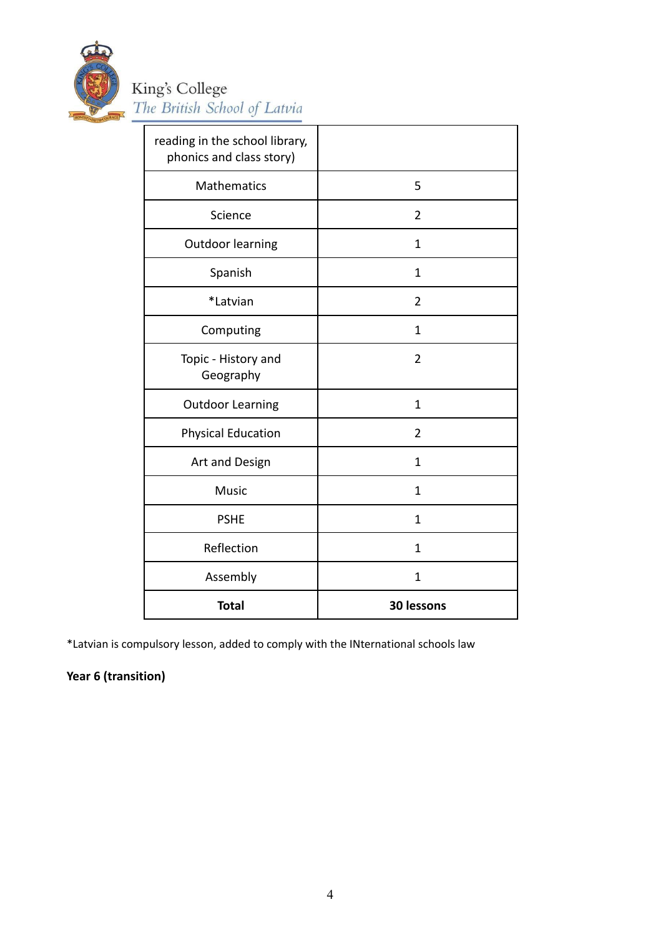

# King's College<br>The British School of Latvia

| reading in the school library,<br>phonics and class story) |                |
|------------------------------------------------------------|----------------|
| <b>Mathematics</b>                                         | 5              |
| Science                                                    | $\overline{2}$ |
| <b>Outdoor learning</b>                                    | $\mathbf{1}$   |
| Spanish                                                    | 1              |
| *Latvian                                                   | $\overline{2}$ |
| Computing                                                  | 1              |
| Topic - History and<br>Geography                           | $\overline{2}$ |
| <b>Outdoor Learning</b>                                    | $\mathbf{1}$   |
| <b>Physical Education</b>                                  | 2              |
| Art and Design                                             | 1              |
| Music                                                      | 1              |
| <b>PSHE</b>                                                | $\mathbf{1}$   |
| Reflection                                                 | $\mathbf 1$    |
| Assembly                                                   | 1              |
| <b>Total</b>                                               | 30 lessons     |

\*Latvian is compulsory lesson, added to comply with the INternational schools law

## **Year 6 (transition)**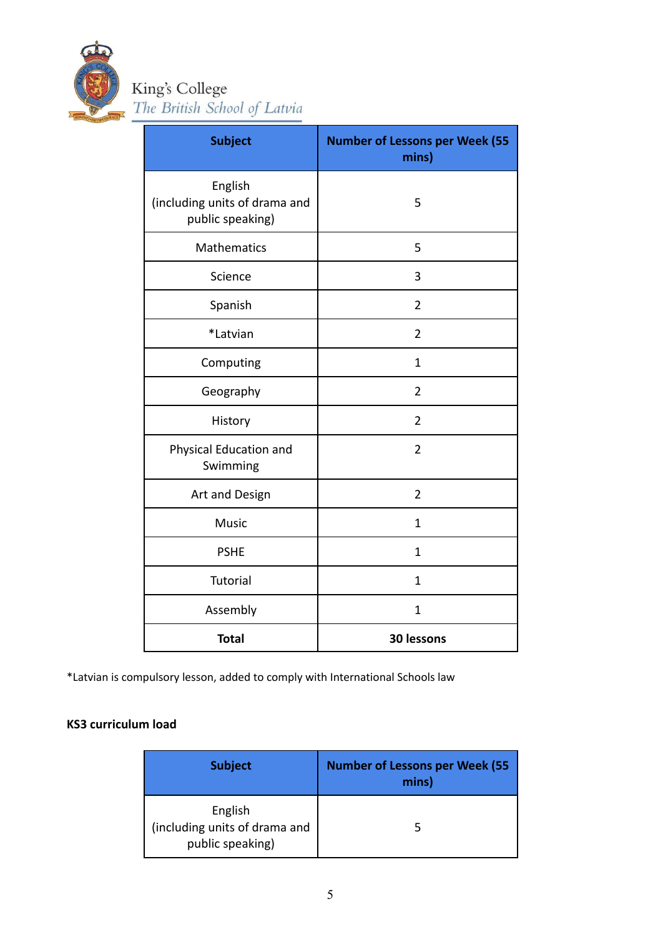

King's College<br>The British School of Latvia

| <b>Subject</b>                                               | <b>Number of Lessons per Week (55</b><br>mins) |
|--------------------------------------------------------------|------------------------------------------------|
| English<br>(including units of drama and<br>public speaking) | 5                                              |
| <b>Mathematics</b>                                           | 5                                              |
| Science                                                      | 3                                              |
| Spanish                                                      | $\overline{2}$                                 |
| *Latvian                                                     | $\overline{2}$                                 |
| Computing                                                    | $\mathbf{1}$                                   |
| Geography                                                    | $\overline{2}$                                 |
| History                                                      | $\overline{2}$                                 |
| Physical Education and<br>Swimming                           | $\overline{2}$                                 |
| Art and Design                                               | $\overline{2}$                                 |
| <b>Music</b>                                                 | $\mathbf{1}$                                   |
| <b>PSHE</b>                                                  | $\mathbf{1}$                                   |
| <b>Tutorial</b>                                              | $\mathbf{1}$                                   |
| Assembly                                                     | $\mathbf{1}$                                   |
| <b>Total</b>                                                 | 30 lessons                                     |

\*Latvian is compulsory lesson, added to comply with International Schools law

## **KS3 curriculum load**

| <b>Subject</b>                                               | <b>Number of Lessons per Week (55</b><br>mins) |
|--------------------------------------------------------------|------------------------------------------------|
| English<br>(including units of drama and<br>public speaking) |                                                |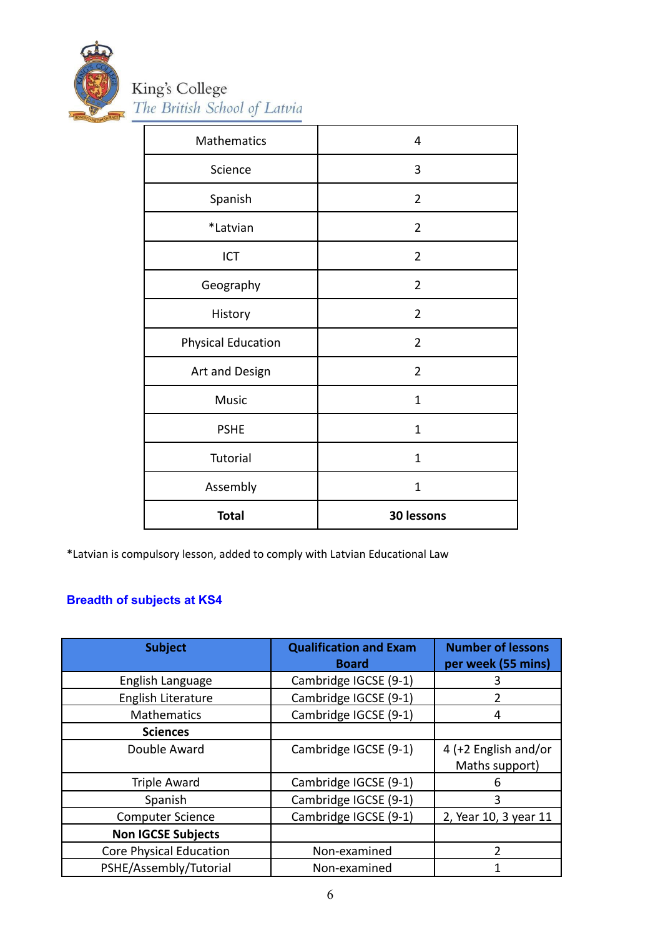

| Mathematics               | 4              |
|---------------------------|----------------|
| Science                   | 3              |
| Spanish                   | $\overline{2}$ |
| *Latvian                  | $\overline{2}$ |
| ICT                       | $\overline{2}$ |
| Geography                 | $\overline{2}$ |
| History                   | $\overline{2}$ |
| <b>Physical Education</b> | $\overline{2}$ |
| Art and Design            | $\overline{2}$ |
| <b>Music</b>              | $\mathbf{1}$   |
| <b>PSHE</b>               | $\mathbf 1$    |
| <b>Tutorial</b>           | $\mathbf{1}$   |
| Assembly                  | $\overline{1}$ |
| <b>Total</b>              | 30 lessons     |

\*Latvian is compulsory lesson, added to comply with Latvian Educational Law

## **Breadth of subjects at KS4**

| <b>Subject</b>                 | <b>Qualification and Exam</b><br><b>Board</b> | <b>Number of lessons</b><br>per week (55 mins) |
|--------------------------------|-----------------------------------------------|------------------------------------------------|
| English Language               | Cambridge IGCSE (9-1)                         | 3                                              |
| English Literature             | Cambridge IGCSE (9-1)                         | 2                                              |
| Mathematics                    | Cambridge IGCSE (9-1)                         | 4                                              |
| <b>Sciences</b>                |                                               |                                                |
| Double Award                   | Cambridge IGCSE (9-1)                         | 4 (+2 English and/or<br>Maths support)         |
| <b>Triple Award</b>            | Cambridge IGCSE (9-1)                         | ь                                              |
| Spanish                        | Cambridge IGCSE (9-1)                         | 3                                              |
| <b>Computer Science</b>        | Cambridge IGCSE (9-1)                         | 2, Year 10, 3 year 11                          |
| <b>Non IGCSE Subjects</b>      |                                               |                                                |
| <b>Core Physical Education</b> | Non-examined                                  | $\mathcal{P}$                                  |
| PSHE/Assembly/Tutorial         | Non-examined                                  |                                                |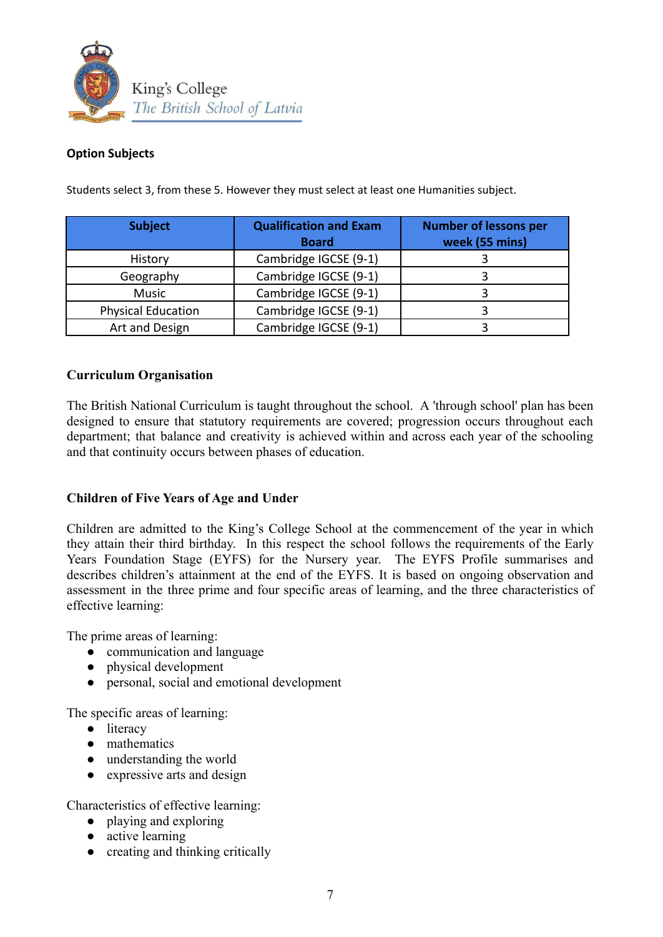

#### **Option Subjects**

| <b>Subject</b>            | <b>Qualification and Exam</b><br><b>Board</b> | <b>Number of lessons per</b><br>week (55 mins) |
|---------------------------|-----------------------------------------------|------------------------------------------------|
| History                   | Cambridge IGCSE (9-1)                         |                                                |
| Geography                 | Cambridge IGCSE (9-1)                         |                                                |
| <b>Music</b>              | Cambridge IGCSE (9-1)                         |                                                |
| <b>Physical Education</b> | Cambridge IGCSE (9-1)                         |                                                |
| Art and Design            | Cambridge IGCSE (9-1)                         |                                                |

Students select 3, from these 5. However they must select at least one Humanities subject.

#### **Curriculum Organisation**

The British National Curriculum is taught throughout the school. A 'through school' plan has been designed to ensure that statutory requirements are covered; progression occurs throughout each department; that balance and creativity is achieved within and across each year of the schooling and that continuity occurs between phases of education.

#### **Children of Five Years of Age and Under**

Children are admitted to the King's College School at the commencement of the year in which they attain their third birthday. In this respect the school follows the requirements of the Early Years Foundation Stage (EYFS) for the Nursery year. The EYFS Profile summarises and describes children's attainment at the end of the EYFS. It is based on ongoing observation and assessment in the three prime and four specific areas of learning, and the three characteristics of effective learning:

The prime areas of learning:

- communication and language
- physical development
- personal, social and emotional development

The specific areas of learning:

- literacy
- mathematics
- understanding the world
- expressive arts and design

Characteristics of effective learning:

- playing and exploring
- active learning
- creating and thinking critically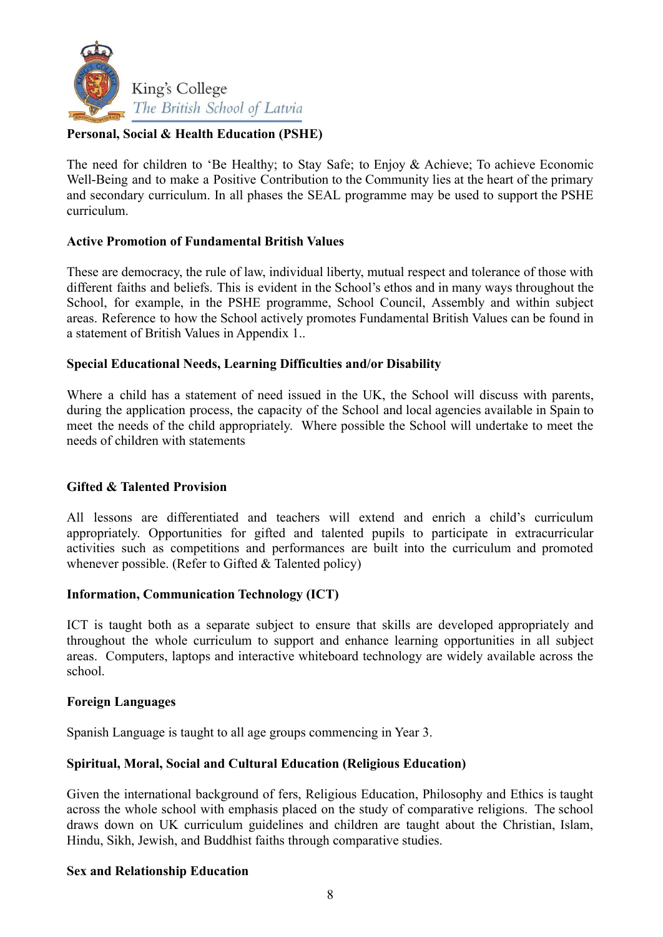

#### **Personal, Social & Health Education (PSHE)**

The need for children to 'Be Healthy; to Stay Safe; to Enjoy & Achieve; To achieve Economic Well-Being and to make a Positive Contribution to the Community lies at the heart of the primary and secondary curriculum. In all phases the SEAL programme may be used to support the PSHE curriculum.

#### **Active Promotion of Fundamental British Values**

These are democracy, the rule of law, individual liberty, mutual respect and tolerance of those with different faiths and beliefs. This is evident in the School's ethos and in many ways throughout the School, for example, in the PSHE programme, School Council, Assembly and within subject areas. Reference to how the School actively promotes Fundamental British Values can be found in a statement of British Values in Appendix 1..

#### **Special Educational Needs, Learning Difficulties and/or Disability**

Where a child has a statement of need issued in the UK, the School will discuss with parents, during the application process, the capacity of the School and local agencies available in Spain to meet the needs of the child appropriately. Where possible the School will undertake to meet the needs of children with statements

#### **Gifted & Talented Provision**

All lessons are differentiated and teachers will extend and enrich a child's curriculum appropriately. Opportunities for gifted and talented pupils to participate in extracurricular activities such as competitions and performances are built into the curriculum and promoted whenever possible. (Refer to Gifted & Talented policy)

#### **Information, Communication Technology (ICT)**

ICT is taught both as a separate subject to ensure that skills are developed appropriately and throughout the whole curriculum to support and enhance learning opportunities in all subject areas. Computers, laptops and interactive whiteboard technology are widely available across the school.

#### **Foreign Languages**

Spanish Language is taught to all age groups commencing in Year 3.

#### **Spiritual, Moral, Social and Cultural Education (Religious Education)**

Given the international background of fers, Religious Education, Philosophy and Ethics is taught across the whole school with emphasis placed on the study of comparative religions. The school draws down on UK curriculum guidelines and children are taught about the Christian, Islam, Hindu, Sikh, Jewish, and Buddhist faiths through comparative studies.

#### **Sex and Relationship Education**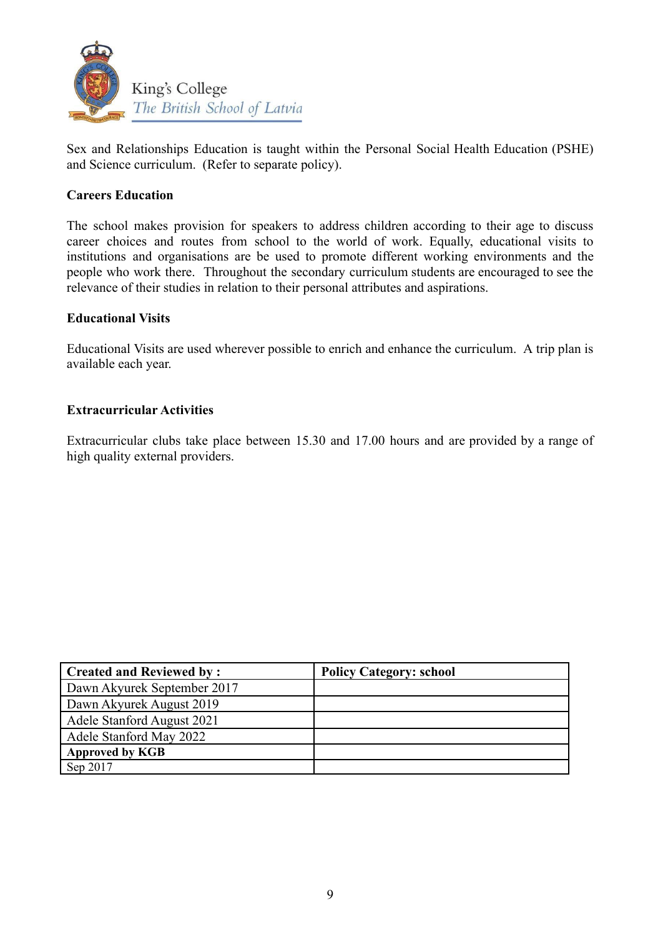

Sex and Relationships Education is taught within the Personal Social Health Education (PSHE) and Science curriculum. (Refer to separate policy).

#### **Careers Education**

The school makes provision for speakers to address children according to their age to discuss career choices and routes from school to the world of work. Equally, educational visits to institutions and organisations are be used to promote different working environments and the people who work there. Throughout the secondary curriculum students are encouraged to see the relevance of their studies in relation to their personal attributes and aspirations.

#### **Educational Visits**

Educational Visits are used wherever possible to enrich and enhance the curriculum. A trip plan is available each year.

#### **Extracurricular Activities**

Extracurricular clubs take place between 15.30 and 17.00 hours and are provided by a range of high quality external providers.

| <b>Created and Reviewed by:</b> | <b>Policy Category: school</b> |
|---------------------------------|--------------------------------|
| Dawn Akyurek September 2017     |                                |
| Dawn Akyurek August 2019        |                                |
| Adele Stanford August 2021      |                                |
| Adele Stanford May 2022         |                                |
| <b>Approved by KGB</b>          |                                |
| Sep 2017                        |                                |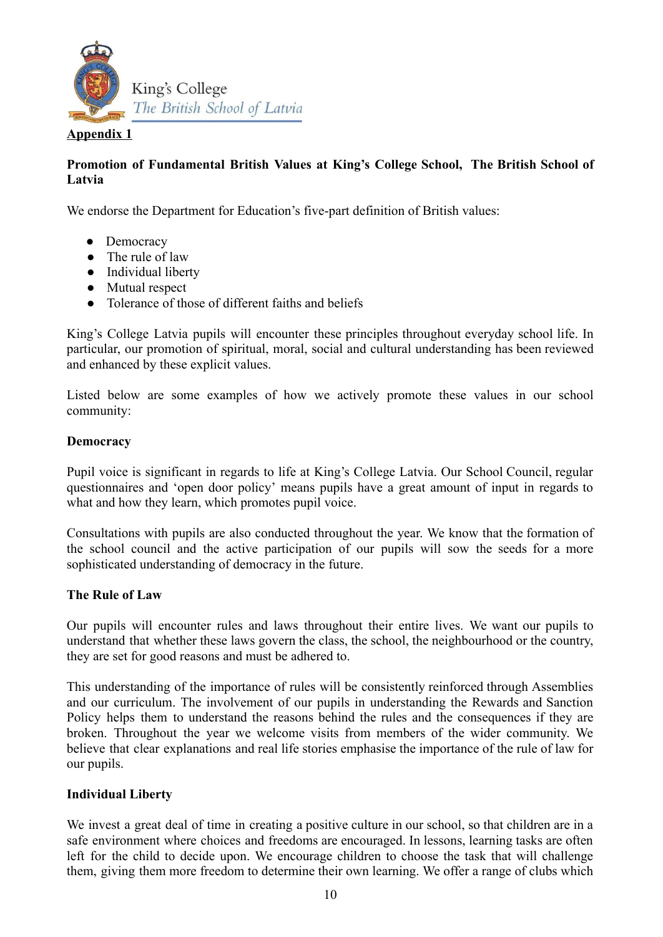

#### **Appendix 1**

#### **Promotion of Fundamental British Values at King's College School, The British School of Latvia**

We endorse the Department for Education's five-part definition of British values:

- Democracy
- The rule of law
- Individual liberty
- Mutual respect
- Tolerance of those of different faiths and beliefs

King's College Latvia pupils will encounter these principles throughout everyday school life. In particular, our promotion of spiritual, moral, social and cultural understanding has been reviewed and enhanced by these explicit values.

Listed below are some examples of how we actively promote these values in our school community:

#### **Democracy**

Pupil voice is significant in regards to life at King's College Latvia. Our School Council, regular questionnaires and 'open door policy' means pupils have a great amount of input in regards to what and how they learn, which promotes pupil voice.

Consultations with pupils are also conducted throughout the year. We know that the formation of the school council and the active participation of our pupils will sow the seeds for a more sophisticated understanding of democracy in the future.

#### **The Rule of Law**

Our pupils will encounter rules and laws throughout their entire lives. We want our pupils to understand that whether these laws govern the class, the school, the neighbourhood or the country, they are set for good reasons and must be adhered to.

This understanding of the importance of rules will be consistently reinforced through Assemblies and our curriculum. The involvement of our pupils in understanding the Rewards and Sanction Policy helps them to understand the reasons behind the rules and the consequences if they are broken. Throughout the year we welcome visits from members of the wider community. We believe that clear explanations and real life stories emphasise the importance of the rule of law for our pupils.

#### **Individual Liberty**

We invest a great deal of time in creating a positive culture in our school, so that children are in a safe environment where choices and freedoms are encouraged. In lessons, learning tasks are often left for the child to decide upon. We encourage children to choose the task that will challenge them, giving them more freedom to determine their own learning. We offer a range of clubs which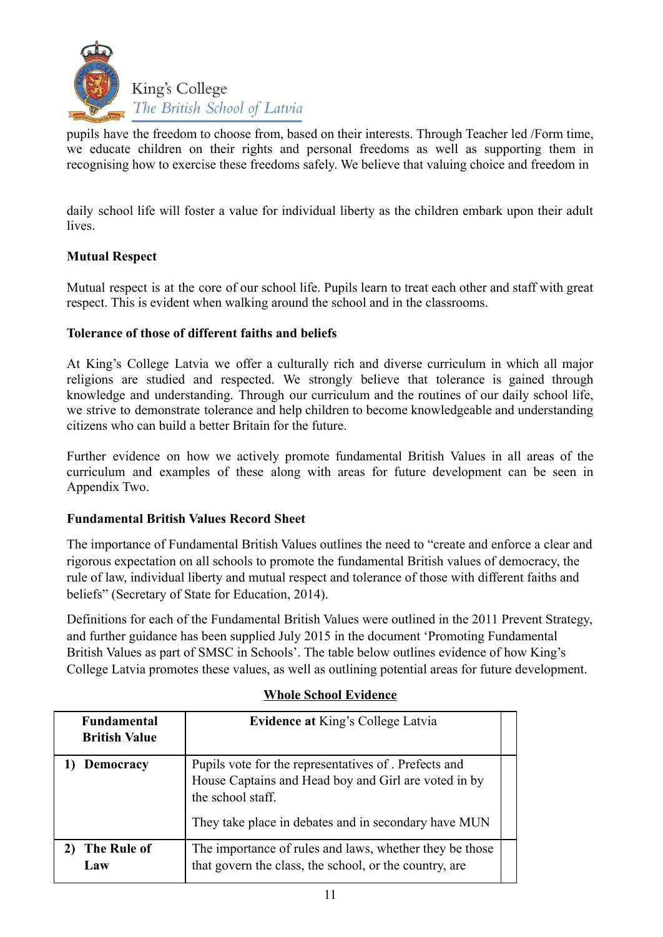

pupils have the freedom to choose from, based on their interests. Through Teacher led /Form time, we educate children on their rights and personal freedoms as well as supporting them in recognising how to exercise these freedoms safely. We believe that valuing choice and freedom in

daily school life will foster a value for individual liberty as the children embark upon their adult lives.

#### **Mutual Respect**

Mutual respect is at the core of our school life. Pupils learn to treat each other and staff with great respect. This is evident when walking around the school and in the classrooms.

#### **Tolerance of those of different faiths and beliefs**

At King's College Latvia we offer a culturally rich and diverse curriculum in which all major religions are studied and respected. We strongly believe that tolerance is gained through knowledge and understanding. Through our curriculum and the routines of our daily school life, we strive to demonstrate tolerance and help children to become knowledgeable and understanding citizens who can build a better Britain for the future.

Further evidence on how we actively promote fundamental British Values in all areas of the curriculum and examples of these along with areas for future development can be seen in Appendix Two.

#### **Fundamental British Values Record Sheet**

The importance of Fundamental British Values outlines the need to "create and enforce a clear and rigorous expectation on all schools to promote the fundamental British values of democracy, the rule of law, individual liberty and mutual respect and tolerance of those with different faiths and beliefs" (Secretary of State for Education, 2014).

Definitions for each of the Fundamental British Values were outlined in the 2011 Prevent Strategy, and further guidance has been supplied July 2015 in the document 'Promoting Fundamental British Values as part of SMSC in Schools'. The table below outlines evidence of how King's College Latvia promotes these values, as well as outlining potential areas for future development.

| <b>Fundamental</b><br><b>British Value</b> | <b>Evidence at King's College Latvia</b>                                                                                                                                                   |  |
|--------------------------------------------|--------------------------------------------------------------------------------------------------------------------------------------------------------------------------------------------|--|
| <b>Democracy</b>                           | Pupils vote for the representatives of . Prefects and<br>House Captains and Head boy and Girl are voted in by<br>the school staff.<br>They take place in debates and in secondary have MUN |  |
| The Rule of<br>Law                         | The importance of rules and laws, whether they be those<br>that govern the class, the school, or the country, are                                                                          |  |

#### **Whole School Evidence**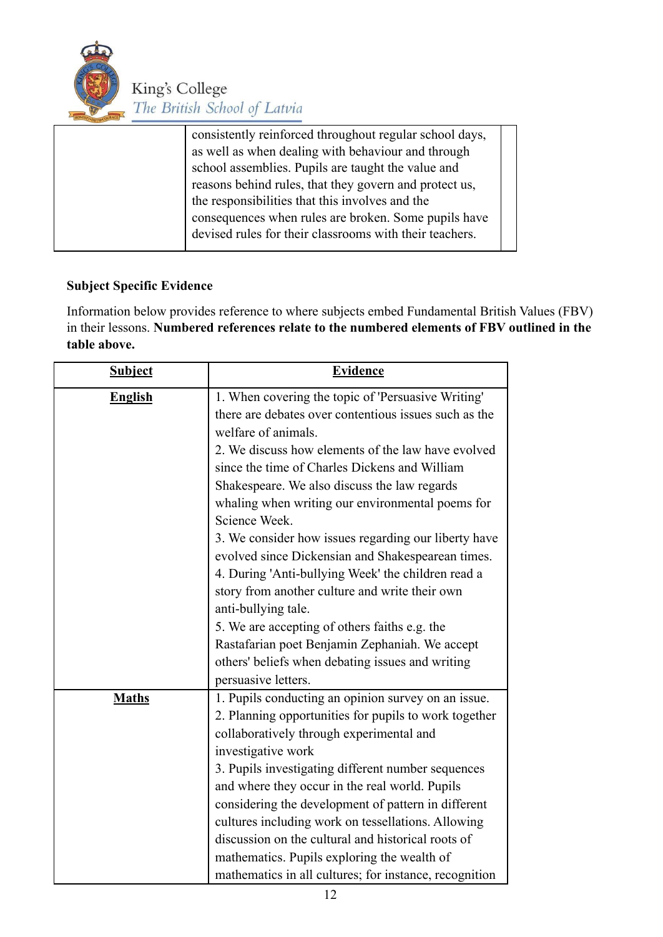

|  | consistently reinforced throughout regular school days, |  |
|--|---------------------------------------------------------|--|
|  | as well as when dealing with behaviour and through      |  |
|  | school assemblies. Pupils are taught the value and      |  |
|  | reasons behind rules, that they govern and protect us,  |  |
|  | the responsibilities that this involves and the         |  |
|  | consequences when rules are broken. Some pupils have    |  |
|  | devised rules for their classrooms with their teachers. |  |
|  |                                                         |  |

## **Subject Specific Evidence**

Information below provides reference to where subjects embed Fundamental British Values (FBV) in their lessons. **Numbered references relate to the numbered elements of FBV outlined in the table above.**

| <b>Subject</b> | <b>Evidence</b>                                        |  |
|----------------|--------------------------------------------------------|--|
| <b>English</b> | 1. When covering the topic of 'Persuasive Writing'     |  |
|                | there are debates over contentious issues such as the  |  |
|                | welfare of animals.                                    |  |
|                | 2. We discuss how elements of the law have evolved     |  |
|                | since the time of Charles Dickens and William          |  |
|                | Shakespeare. We also discuss the law regards           |  |
|                | whaling when writing our environmental poems for       |  |
|                | Science Week.                                          |  |
|                | 3. We consider how issues regarding our liberty have   |  |
|                | evolved since Dickensian and Shakespearean times.      |  |
|                | 4. During 'Anti-bullying Week' the children read a     |  |
|                | story from another culture and write their own         |  |
|                | anti-bullying tale.                                    |  |
|                | 5. We are accepting of others faiths e.g. the          |  |
|                | Rastafarian poet Benjamin Zephaniah. We accept         |  |
|                | others' beliefs when debating issues and writing       |  |
|                | persuasive letters.                                    |  |
| <b>Maths</b>   | 1. Pupils conducting an opinion survey on an issue.    |  |
|                | 2. Planning opportunities for pupils to work together  |  |
|                | collaboratively through experimental and               |  |
|                | investigative work                                     |  |
|                | 3. Pupils investigating different number sequences     |  |
|                | and where they occur in the real world. Pupils         |  |
|                | considering the development of pattern in different    |  |
|                | cultures including work on tessellations. Allowing     |  |
|                | discussion on the cultural and historical roots of     |  |
|                | mathematics. Pupils exploring the wealth of            |  |
|                | mathematics in all cultures; for instance, recognition |  |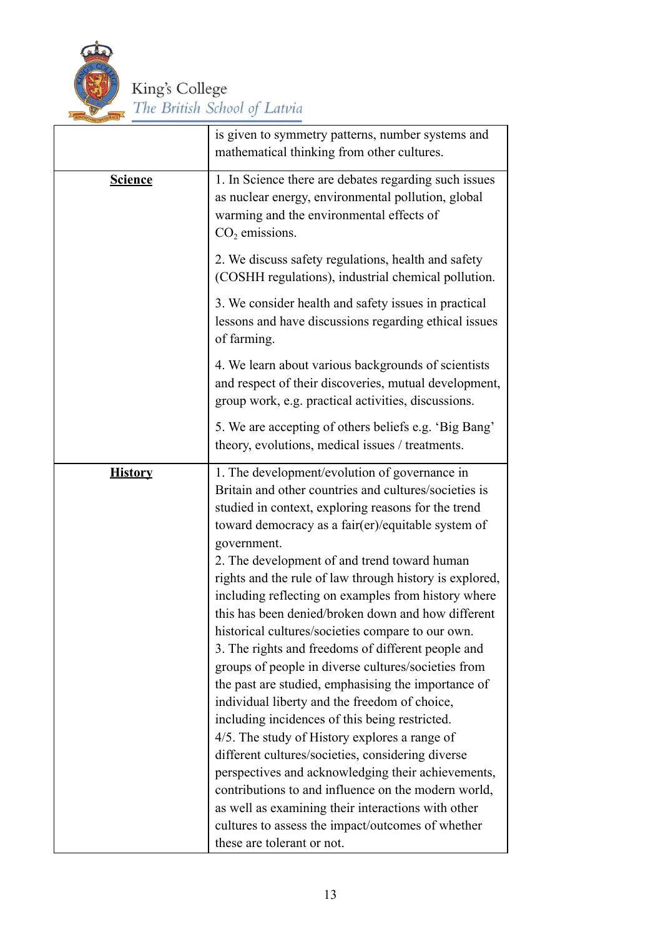

|                | is given to symmetry patterns, number systems and                                                                                                                                                                                                                                                                                                                                                                                                                                                                                                                                                                                                                                                                                                                                                                                                                                                                                                                                                                                                                                                                                                  |
|----------------|----------------------------------------------------------------------------------------------------------------------------------------------------------------------------------------------------------------------------------------------------------------------------------------------------------------------------------------------------------------------------------------------------------------------------------------------------------------------------------------------------------------------------------------------------------------------------------------------------------------------------------------------------------------------------------------------------------------------------------------------------------------------------------------------------------------------------------------------------------------------------------------------------------------------------------------------------------------------------------------------------------------------------------------------------------------------------------------------------------------------------------------------------|
|                | mathematical thinking from other cultures.                                                                                                                                                                                                                                                                                                                                                                                                                                                                                                                                                                                                                                                                                                                                                                                                                                                                                                                                                                                                                                                                                                         |
| <b>Science</b> | 1. In Science there are debates regarding such issues<br>as nuclear energy, environmental pollution, global<br>warming and the environmental effects of<br>$CO2$ emissions.                                                                                                                                                                                                                                                                                                                                                                                                                                                                                                                                                                                                                                                                                                                                                                                                                                                                                                                                                                        |
|                | 2. We discuss safety regulations, health and safety<br>(COSHH regulations), industrial chemical pollution.                                                                                                                                                                                                                                                                                                                                                                                                                                                                                                                                                                                                                                                                                                                                                                                                                                                                                                                                                                                                                                         |
|                | 3. We consider health and safety issues in practical<br>lessons and have discussions regarding ethical issues<br>of farming.                                                                                                                                                                                                                                                                                                                                                                                                                                                                                                                                                                                                                                                                                                                                                                                                                                                                                                                                                                                                                       |
|                | 4. We learn about various backgrounds of scientists<br>and respect of their discoveries, mutual development,<br>group work, e.g. practical activities, discussions.                                                                                                                                                                                                                                                                                                                                                                                                                                                                                                                                                                                                                                                                                                                                                                                                                                                                                                                                                                                |
|                | 5. We are accepting of others beliefs e.g. 'Big Bang'<br>theory, evolutions, medical issues / treatments.                                                                                                                                                                                                                                                                                                                                                                                                                                                                                                                                                                                                                                                                                                                                                                                                                                                                                                                                                                                                                                          |
| <b>History</b> | 1. The development/evolution of governance in<br>Britain and other countries and cultures/societies is<br>studied in context, exploring reasons for the trend<br>toward democracy as a fair(er)/equitable system of<br>government.<br>2. The development of and trend toward human<br>rights and the rule of law through history is explored,<br>including reflecting on examples from history where<br>this has been denied/broken down and how different<br>historical cultures/societies compare to our own.<br>3. The rights and freedoms of different people and<br>groups of people in diverse cultures/societies from<br>the past are studied, emphasising the importance of<br>individual liberty and the freedom of choice,<br>including incidences of this being restricted.<br>4/5. The study of History explores a range of<br>different cultures/societies, considering diverse<br>perspectives and acknowledging their achievements,<br>contributions to and influence on the modern world,<br>as well as examining their interactions with other<br>cultures to assess the impact/outcomes of whether<br>these are tolerant or not. |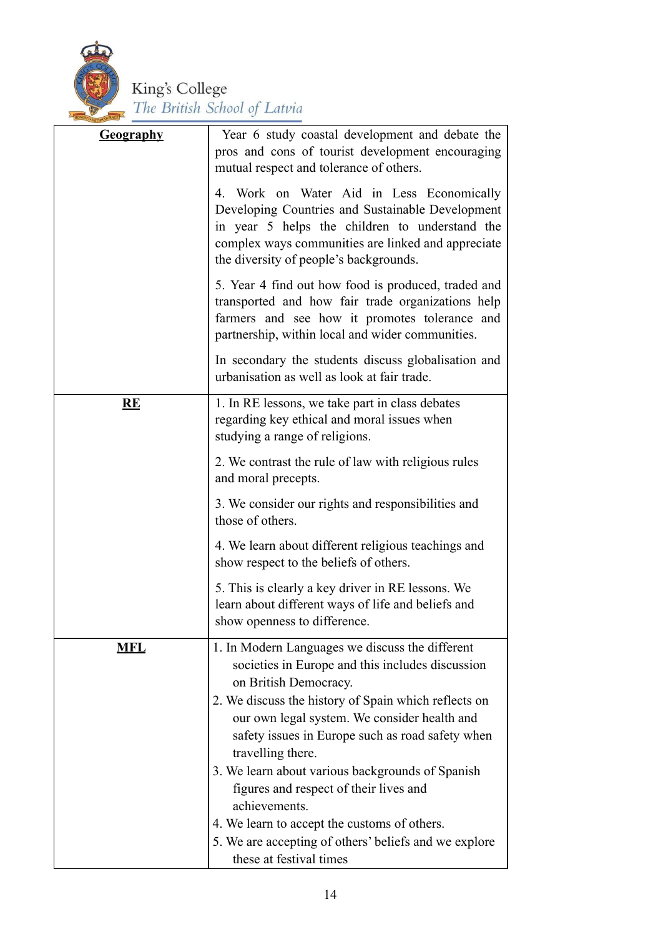

| <b>Geography</b> | Year 6 study coastal development and debate the<br>pros and cons of tourist development encouraging<br>mutual respect and tolerance of others.                                                                                                                                                                |
|------------------|---------------------------------------------------------------------------------------------------------------------------------------------------------------------------------------------------------------------------------------------------------------------------------------------------------------|
|                  | 4. Work on Water Aid in Less Economically<br>Developing Countries and Sustainable Development<br>in year 5 helps the children to understand the<br>complex ways communities are linked and appreciate<br>the diversity of people's backgrounds.                                                               |
|                  | 5. Year 4 find out how food is produced, traded and<br>transported and how fair trade organizations help<br>farmers and see how it promotes tolerance and<br>partnership, within local and wider communities.                                                                                                 |
|                  | In secondary the students discuss globalisation and<br>urbanisation as well as look at fair trade.                                                                                                                                                                                                            |
| RE               | 1. In RE lessons, we take part in class debates<br>regarding key ethical and moral issues when<br>studying a range of religions.                                                                                                                                                                              |
|                  | 2. We contrast the rule of law with religious rules<br>and moral precepts.                                                                                                                                                                                                                                    |
|                  | 3. We consider our rights and responsibilities and<br>those of others.                                                                                                                                                                                                                                        |
|                  | 4. We learn about different religious teachings and<br>show respect to the beliefs of others.                                                                                                                                                                                                                 |
|                  | 5. This is clearly a key driver in RE lessons. We<br>learn about different ways of life and beliefs and<br>show openness to difference.                                                                                                                                                                       |
| <b>MFL</b>       | 1. In Modern Languages we discuss the different<br>societies in Europe and this includes discussion<br>on British Democracy.<br>2. We discuss the history of Spain which reflects on<br>our own legal system. We consider health and<br>safety issues in Europe such as road safety when<br>travelling there. |
|                  | 3. We learn about various backgrounds of Spanish<br>figures and respect of their lives and<br>achievements.                                                                                                                                                                                                   |
|                  | 4. We learn to accept the customs of others.<br>5. We are accepting of others' beliefs and we explore<br>these at festival times                                                                                                                                                                              |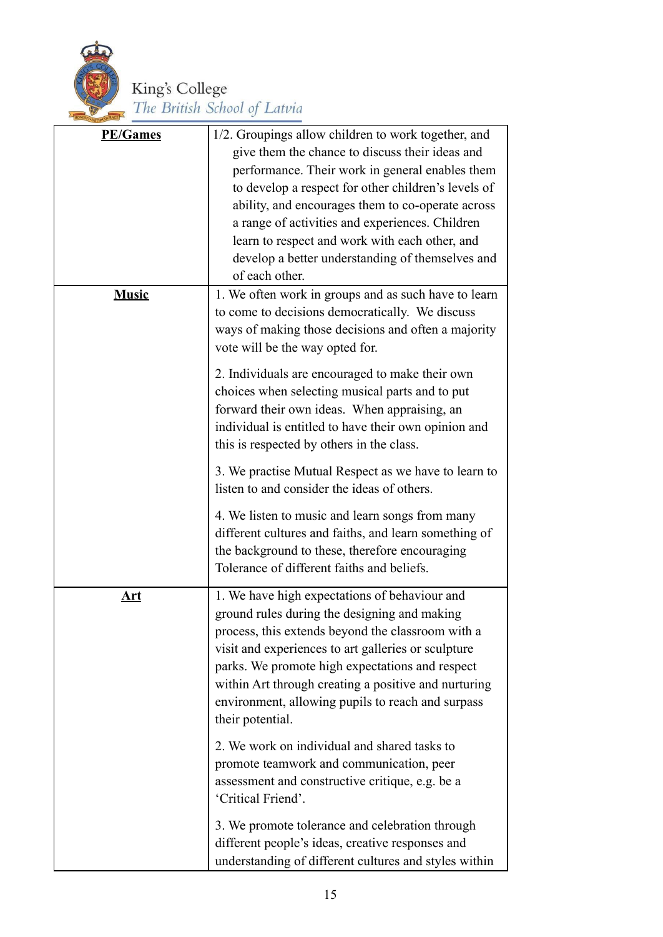

| <b>PE/Games</b> | 1/2. Groupings allow children to work together, and<br>give them the chance to discuss their ideas and<br>performance. Their work in general enables them<br>to develop a respect for other children's levels of<br>ability, and encourages them to co-operate across<br>a range of activities and experiences. Children<br>learn to respect and work with each other, and<br>develop a better understanding of themselves and<br>of each other. |
|-----------------|--------------------------------------------------------------------------------------------------------------------------------------------------------------------------------------------------------------------------------------------------------------------------------------------------------------------------------------------------------------------------------------------------------------------------------------------------|
| <b>Music</b>    | 1. We often work in groups and as such have to learn<br>to come to decisions democratically. We discuss<br>ways of making those decisions and often a majority<br>vote will be the way opted for.                                                                                                                                                                                                                                                |
|                 | 2. Individuals are encouraged to make their own<br>choices when selecting musical parts and to put<br>forward their own ideas. When appraising, an<br>individual is entitled to have their own opinion and<br>this is respected by others in the class.                                                                                                                                                                                          |
|                 | 3. We practise Mutual Respect as we have to learn to<br>listen to and consider the ideas of others.                                                                                                                                                                                                                                                                                                                                              |
|                 | 4. We listen to music and learn songs from many<br>different cultures and faiths, and learn something of<br>the background to these, therefore encouraging<br>Tolerance of different faiths and beliefs.                                                                                                                                                                                                                                         |
| <u>Art</u>      | 1. We have high expectations of behaviour and<br>ground rules during the designing and making<br>process, this extends beyond the classroom with a<br>visit and experiences to art galleries or sculpture<br>parks. We promote high expectations and respect<br>within Art through creating a positive and nurturing<br>environment, allowing pupils to reach and surpass<br>their potential.                                                    |
|                 | 2. We work on individual and shared tasks to<br>promote teamwork and communication, peer<br>assessment and constructive critique, e.g. be a<br>'Critical Friend'.                                                                                                                                                                                                                                                                                |
|                 | 3. We promote tolerance and celebration through<br>different people's ideas, creative responses and<br>understanding of different cultures and styles within                                                                                                                                                                                                                                                                                     |